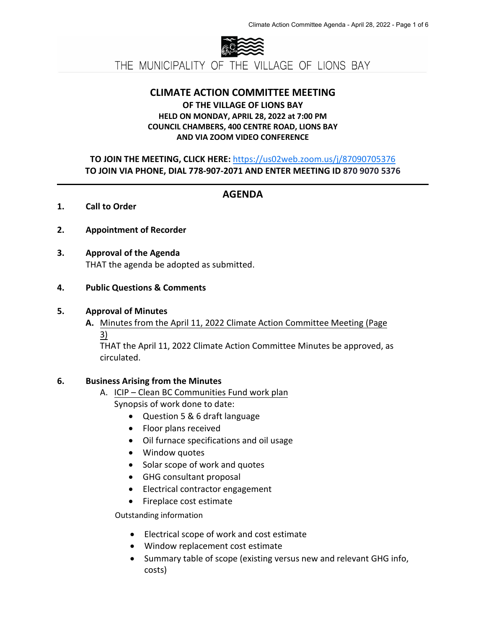

THE MUNICIPALITY OF THE VILLAGE OF LIONS BAY

#### **CLIMATE ACTION COMMITTEE MEETING**

### **OF THE VILLAGE OF LIONS BAY HELD ON MONDAY, APRIL 28, 2022 at 7:00 PM COUNCIL CHAMBERS, 400 CENTRE ROAD, LIONS BAY AND VIA ZOOM VIDEO CONFERENCE**

### **TO JOIN THE MEETING, CLICK HERE:** <https://us02web.zoom.us/j/87090705376> **TO JOIN VIA PHONE, DIAL 778-907-2071 AND ENTER MEETING ID 870 9070 5376**

# **AGENDA**

#### **1. Call to Order**

- **2. Appointment of Recorder**
- **3. Approval of the Agenda** THAT the agenda be adopted as submitted.

#### **4. Public Questions & Comments**

#### **5. Approval of Minutes**

**A.** Minutes from the April 11, 2022 Climate Action Committee Meeting (Page 3)

THAT the April 11, 2022 Climate Action Committee Minutes be approved, as circulated.

#### **6. Business Arising from the Minutes**

- A. ICIP Clean BC Communities Fund work plan
	- Synopsis of work done to date:
		- Question 5 & 6 draft language
		- Floor plans received
		- Oil furnace specifications and oil usage
		- Window quotes
		- Solar scope of work and quotes
		- GHG consultant proposal
		- Electrical contractor engagement
		- Fireplace cost estimate

Outstanding information

- Electrical scope of work and cost estimate
- Window replacement cost estimate
- Summary table of scope (existing versus new and relevant GHG info, costs)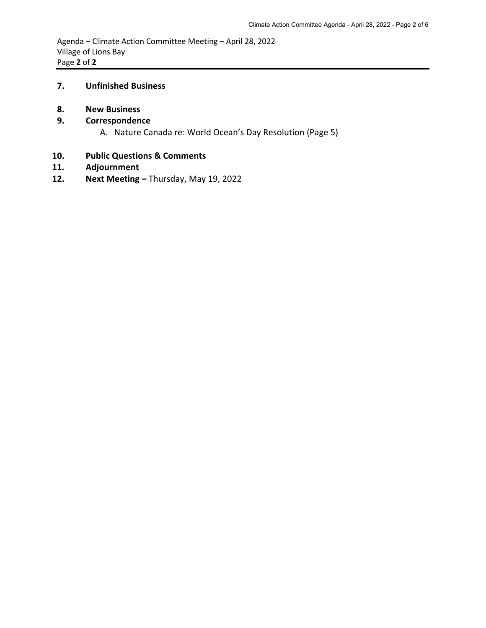Agenda – Climate Action Committee Meeting – April 28, 2022 Village of Lions Bay Page **2** of **2** 

#### **7. Unfinished Business**

**8. New Business**

### **9. Correspondence**

A. Nature Canada re: World Ocean's Day Resolution (Page 5)

# **10. Public Questions & Comments**

- **11. Adjournment**
- **12. Next Meeting** Thursday, May 19, 2022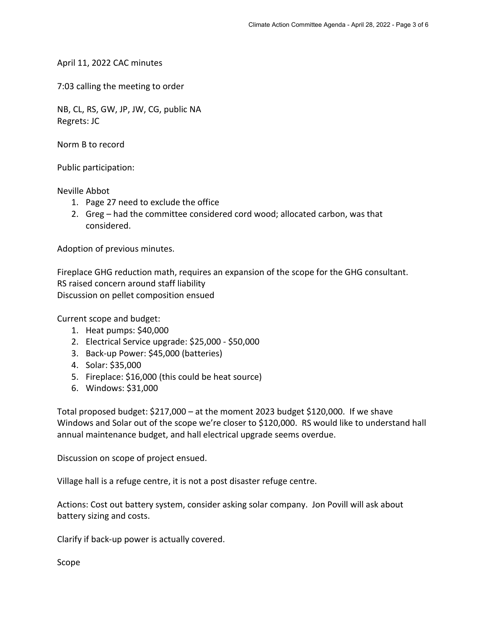April 11, 2022 CAC minutes

7:03 calling the meeting to order

NB, CL, RS, GW, JP, JW, CG, public NA Regrets: JC

Norm B to record

Public participation:

Neville Abbot

- 1. Page 27 need to exclude the office
- 2. Greg had the committee considered cord wood; allocated carbon, was that considered.

Adoption of previous minutes.

Fireplace GHG reduction math, requires an expansion of the scope for the GHG consultant. RS raised concern around staff liability Discussion on pellet composition ensued

Current scope and budget:

- 1. Heat pumps: \$40,000
- 2. Electrical Service upgrade: \$25,000 \$50,000
- 3. Back-up Power: \$45,000 (batteries)
- 4. Solar: \$35,000
- 5. Fireplace: \$16,000 (this could be heat source)
- 6. Windows: \$31,000

Total proposed budget: \$217,000 – at the moment 2023 budget \$120,000. If we shave Windows and Solar out of the scope we're closer to \$120,000. RS would like to understand hall annual maintenance budget, and hall electrical upgrade seems overdue.

Discussion on scope of project ensued.

Village hall is a refuge centre, it is not a post disaster refuge centre.

Actions: Cost out battery system, consider asking solar company. Jon Povill will ask about battery sizing and costs.

Clarify if back-up power is actually covered.

Scope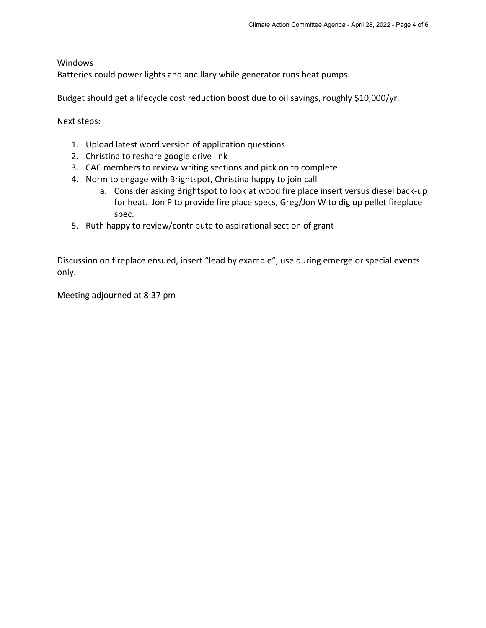**Windows** 

Batteries could power lights and ancillary while generator runs heat pumps.

Budget should get a lifecycle cost reduction boost due to oil savings, roughly \$10,000/yr.

Next steps:

- 1. Upload latest word version of application questions
- 2. Christina to reshare google drive link
- 3. CAC members to review writing sections and pick on to complete
- 4. Norm to engage with Brightspot, Christina happy to join call
	- a. Consider asking Brightspot to look at wood fire place insert versus diesel back-up for heat. Jon P to provide fire place specs, Greg/Jon W to dig up pellet fireplace spec.
- 5. Ruth happy to review/contribute to aspirational section of grant

Discussion on fireplace ensued, insert "lead by example", use during emerge or special events only.

Meeting adjourned at 8:37 pm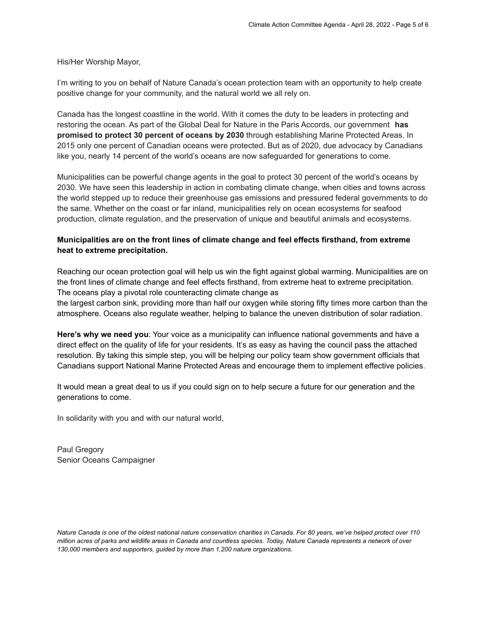His/Her Worship Mayor,

I'm writing to you on behalf of Nature Canada's ocean protection team with an opportunity to help create positive change for your community, and the natural world we all rely on.

Canada has the longest coastline in the world. With it comes the duty to be leaders in protecting and restoring the ocean. As part of the Global Deal for Nature in the Paris Accords, our government **has promised to protect 30 percent of oceans by 2030** through establishing Marine Protected Areas. In 2015 only one percent of Canadian oceans were protected. But as of 2020, due advocacy by Canadians like you, nearly 14 percent of the world's oceans are now safeguarded for generations to come.

Municipalities can be powerful change agents in the goal to protect 30 percent of the world's oceans by 2030. We have seen this leadership in action in combating climate change, when cities and towns across the world stepped up to reduce their greenhouse gas emissions and pressured federal governments to do the same. Whether on the coast or far inland, municipalities rely on ocean ecosystems for seafood production, climate regulation, and the preservation of unique and beautiful animals and ecosystems.

#### **Municipalities are on the front lines of climate change and feel effects firsthand, from extreme heat to extreme precipitation.**

Reaching our ocean protection goal will help us win the fight against global warming. Municipalities are on the front lines of climate change and feel effects firsthand, from extreme heat to extreme precipitation. The oceans play a pivotal role counteracting climate change as

the largest carbon sink, providing more than half our oxygen while storing fifty times more carbon than the atmosphere. Oceans also regulate weather, helping to balance the uneven distribution of solar radiation.

**Here's why we need you**: Your voice as a municipality can influence national governments and have a direct effect on the quality of life for your residents. It's as easy as having the council pass the attached resolution. By taking this simple step, you will be helping our policy team show government officials that Canadians support National Marine Protected Areas and encourage them to implement effective policies.

It would mean a great deal to us if you could sign on to help secure a future for our generation and the generations to come.

In solidarity with you and with our natural world,

Paul Gregory Senior Oceans Campaigner

*Nature Canada is one of the oldest national nature conservation charities in Canada. For 80 years, we've helped protect over 110 million acres of parks and wildlife areas in Canada and countless species. Today, Nature Canada represents a network of over 130,000 members and supporters, guided by more than 1,200 nature organizations.*